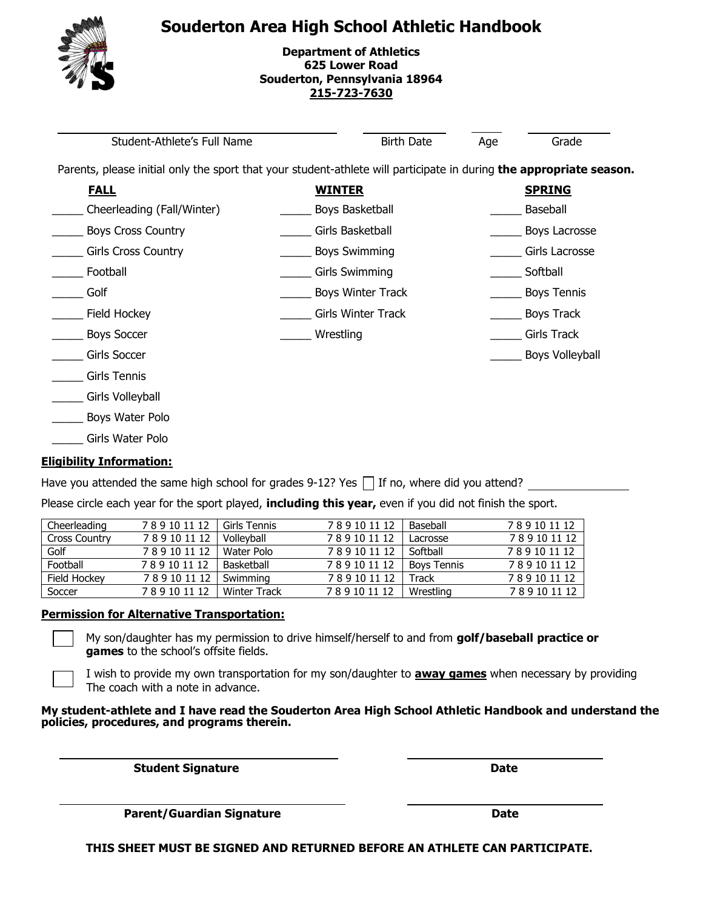



**Department of Athletics 625 Lower Road Souderton, Pennsylvania 18964 [215-723-7630](mailto:tquintois@soudertonsd.org)**

 $\overline{a}$ Student-Athlete's Full Name and Birth Date Age Grade Parents, please initial only the sport that your student-athlete will participate in during **the appropriate season. FALL WINTER SPRING** \_\_\_\_\_ Cheerleading (Fall/Winter) \_\_\_\_\_ Boys Basketball \_\_\_\_\_ Baseball \_\_\_\_\_ Boys Cross Country \_\_\_\_\_ Girls Basketball \_\_\_\_\_ Boys Lacrosse \_\_\_\_\_ Girls Cross Country \_\_\_\_\_ Boys Swimming \_\_\_\_\_ Girls Lacrosse \_\_\_\_\_ Football \_\_\_\_\_ Girls Swimming \_\_\_\_\_ Softball \_\_\_\_\_ Golf \_\_\_\_\_ Boys Winter Track \_\_\_\_\_ Boys Tennis \_\_\_\_\_ Field Hockey \_\_\_\_\_ Girls Winter Track \_\_\_\_\_ Boys Track \_\_\_\_\_ Boys Soccer \_\_\_\_\_ Wrestling \_\_\_\_\_ Girls Track \_\_\_\_\_ Girls Soccer \_\_\_\_\_ Boys Volleyball \_\_\_\_\_ Girls Tennis \_\_\_\_\_ Girls Volleyball \_\_\_\_\_ Boys Water Polo \_\_\_\_\_ Girls Water Polo

#### **Eligibility Information:**

Have you attended the same high school for grades 9-12? Yes  $\Box$  If no, where did you attend?

Please circle each year for the sport played, **including this year,** even if you did not finish the sport.

| Cheerleading         | 789101112 | Girls Tennis        | 789101112 | Baseball           | 789101112 |
|----------------------|-----------|---------------------|-----------|--------------------|-----------|
| <b>Cross Country</b> | 789101112 | Vollevball          | 789101112 | Lacrosse           | 789101112 |
| Golf                 | 789101112 | Water Polo          | 789101112 | Softball           | 789101112 |
| Football             | 789101112 | Basketball          | 789101112 | <b>Bovs Tennis</b> | 789101112 |
| Field Hockey         | 789101112 | Swimming            | 789101112 | Track              | 789101112 |
| Soccer               | 789101112 | <b>Winter Track</b> | 789101112 | Wrestling          | 789101112 |

#### **Permission for Alternative Transportation:**

My son/daughter has my permission to drive himself/herself to and from **golf/baseball practice or games** to the school's offsite fields.

I wish to provide my own transportation for my son/daughter to **away games** when necessary by providing The coach with a note in advance.

#### **My student-athlete and I have read the Souderton Area High School Athletic Handbook and understand the policies, procedures, and programs therein.**

**Student Signature Date** 

**Parent/Guardian Signature data discussed by Date** 

**THIS SHEET MUST BE SIGNED AND RETURNED BEFORE AN ATHLETE CAN PARTICIPATE.**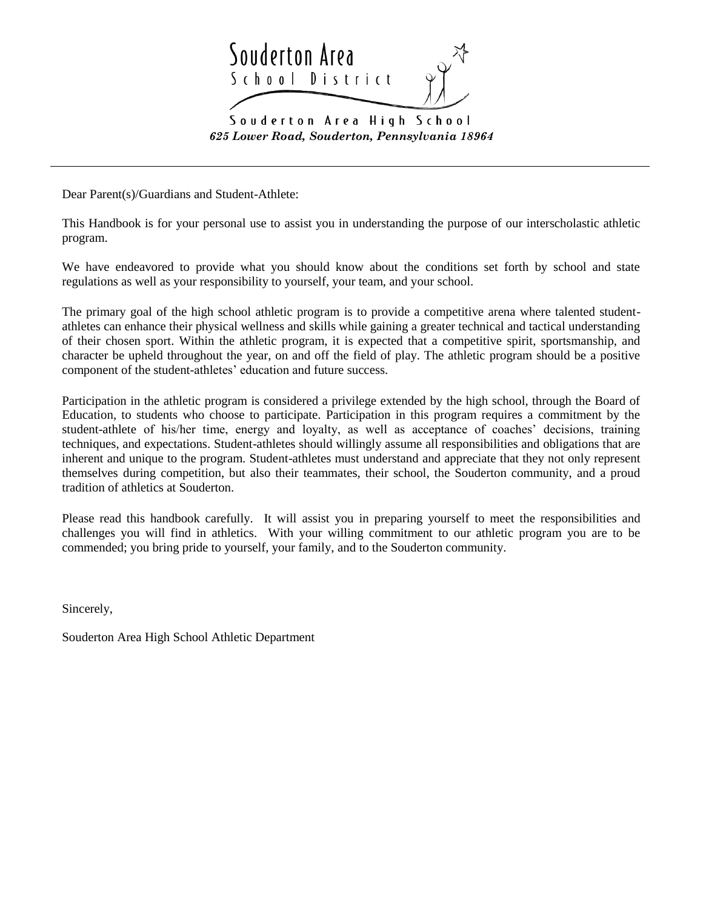

*625 Lower Road, Souderton, Pennsylvania 18964*

Dear Parent(s)/Guardians and Student-Athlete:

This Handbook is for your personal use to assist you in understanding the purpose of our interscholastic athletic program.

We have endeavored to provide what you should know about the conditions set forth by school and state regulations as well as your responsibility to yourself, your team, and your school.

The primary goal of the high school athletic program is to provide a competitive arena where talented studentathletes can enhance their physical wellness and skills while gaining a greater technical and tactical understanding of their chosen sport. Within the athletic program, it is expected that a competitive spirit, sportsmanship, and character be upheld throughout the year, on and off the field of play. The athletic program should be a positive component of the student-athletes' education and future success.

Participation in the athletic program is considered a privilege extended by the high school, through the Board of Education, to students who choose to participate. Participation in this program requires a commitment by the student-athlete of his/her time, energy and loyalty, as well as acceptance of coaches' decisions, training techniques, and expectations. Student-athletes should willingly assume all responsibilities and obligations that are inherent and unique to the program. Student-athletes must understand and appreciate that they not only represent themselves during competition, but also their teammates, their school, the Souderton community, and a proud tradition of athletics at Souderton.

Please read this handbook carefully. It will assist you in preparing yourself to meet the responsibilities and challenges you will find in athletics. With your willing commitment to our athletic program you are to be commended; you bring pride to yourself, your family, and to the Souderton community.

Sincerely,

Souderton Area High School Athletic Department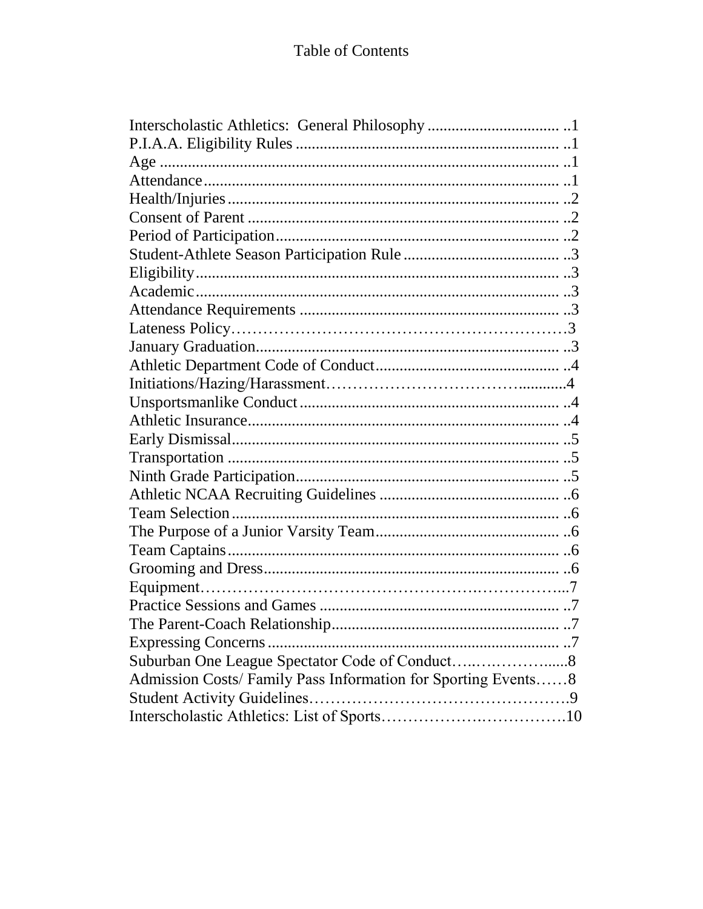| Expressing Concerns                                           |
|---------------------------------------------------------------|
|                                                               |
| Admission Costs/ Family Pass Information for Sporting Events8 |
|                                                               |
|                                                               |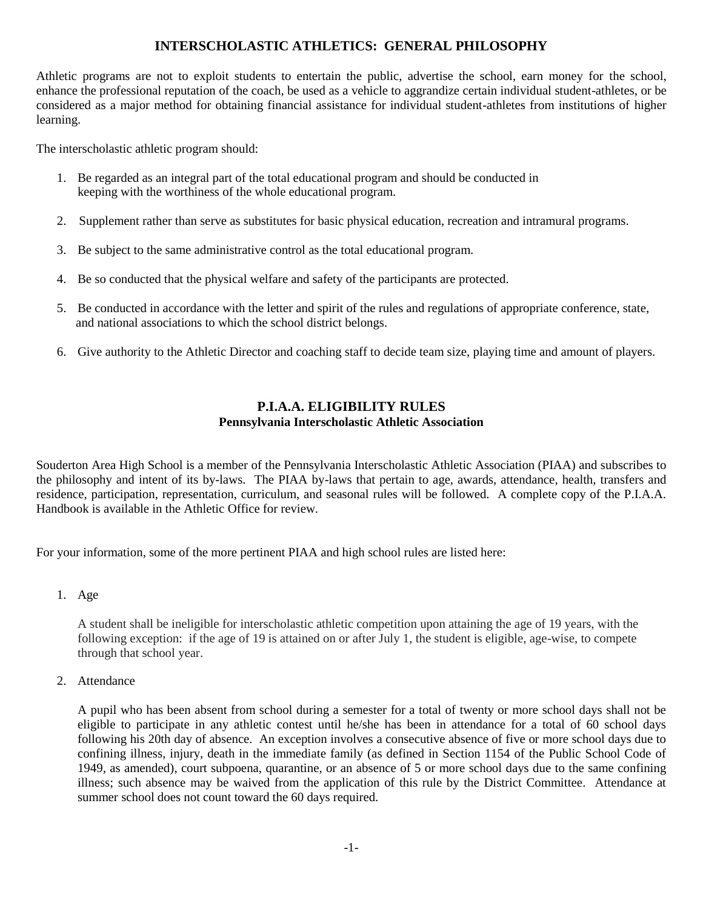### **INTERSCHOLASTIC ATHLETICS: GENERAL PHILOSOPHY**

Athletic programs are not to exploit students to entertain the public, advertise the school, earn money for the school, enhance the professional reputation of the coach, be used as a vehicle to aggrandize certain individual student-athletes, or be considered as a major method for obtaining financial assistance for individual student-athletes from institutions of higher learning.

The interscholastic athletic program should:

- 1. Be regarded as an integral part of the total educational program and should be conducted in keeping with the worthiness of the whole educational program.
- 2. Supplement rather than serve as substitutes for basic physical education, recreation and intramural programs.
- 3. Be subject to the same administrative control as the total educational program.
- 4. Be so conducted that the physical welfare and safety of the participants are protected.
- 5. Be conducted in accordance with the letter and spirit of the rules and regulations of appropriate conference, state, and national associations to which the school district belongs.
- 6. Give authority to the Athletic Director and coaching staff to decide team size, playing time and amount of players.

### **P.I.A.A. ELIGIBILITY RULES Pennsylvania Interscholastic Athletic Association**

Souderton Area High School is a member of the Pennsylvania Interscholastic Athletic Association (PIAA) and subscribes to the philosophy and intent of its by-laws. The PIAA by-laws that pertain to age, awards, attendance, health, transfers and residence, participation, representation, curriculum, and seasonal rules will be followed. A complete copy of the P.I.A.A. Handbook is available in the Athletic Office for review.

For your information, some of the more pertinent PIAA and high school rules are listed here:

1. Age

A student shall be ineligible for interscholastic athletic competition upon attaining the age of 19 years, with the following exception: if the age of 19 is attained on or after July 1, the student is eligible, age-wise, to compete through that school year.

2. Attendance

A pupil who has been absent from school during a semester for a total of twenty or more school days shall not be eligible to participate in any athletic contest until he/she has been in attendance for a total of 60 school days following his 20th day of absence. An exception involves a consecutive absence of five or more school days due to confining illness, injury, death in the immediate family (as defined in Section 1154 of the Public School Code of 1949, as amended), court subpoena, quarantine, or an absence of 5 or more school days due to the same confining illness; such absence may be waived from the application of this rule by the District Committee. Attendance at summer school does not count toward the 60 days required.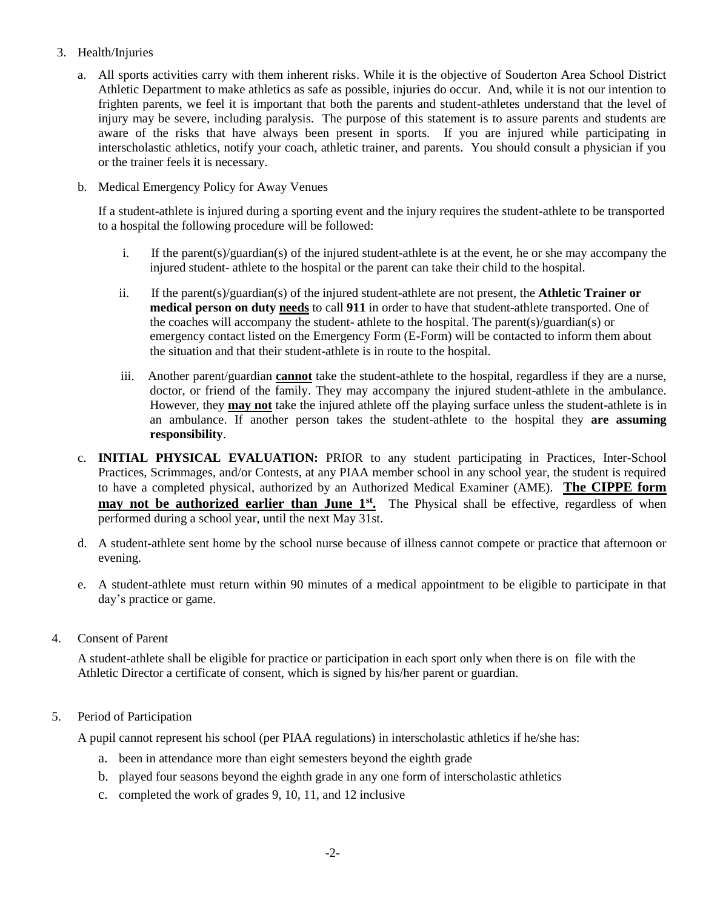#### 3. Health/Injuries

- a. All sports activities carry with them inherent risks. While it is the objective of Souderton Area School District Athletic Department to make athletics as safe as possible, injuries do occur. And, while it is not our intention to frighten parents, we feel it is important that both the parents and student-athletes understand that the level of injury may be severe, including paralysis. The purpose of this statement is to assure parents and students are aware of the risks that have always been present in sports. If you are injured while participating in interscholastic athletics, notify your coach, athletic trainer, and parents. You should consult a physician if you or the trainer feels it is necessary.
- b. Medical Emergency Policy for Away Venues

If a student-athlete is injured during a sporting event and the injury requires the student-athlete to be transported to a hospital the following procedure will be followed:

- i. If the parent(s)/guardian(s) of the injured student-athlete is at the event, he or she may accompany the injured student- athlete to the hospital or the parent can take their child to the hospital.
- ii. If the parent(s)/guardian(s) of the injured student-athlete are not present, the **Athletic Trainer or medical person on duty needs** to call **911** in order to have that student-athlete transported. One of the coaches will accompany the student- athlete to the hospital. The parent(s)/guardian(s) or emergency contact listed on the Emergency Form (E-Form) will be contacted to inform them about the situation and that their student-athlete is in route to the hospital.
- iii. Another parent/guardian **cannot** take the student-athlete to the hospital, regardless if they are a nurse, doctor, or friend of the family. They may accompany the injured student-athlete in the ambulance. However, they **may not** take the injured athlete off the playing surface unless the student-athlete is in an ambulance. If another person takes the student-athlete to the hospital they **are assuming responsibility**.
- c. **INITIAL PHYSICAL EVALUATION:** PRIOR to any student participating in Practices, Inter-School Practices, Scrimmages, and/or Contests, at any PIAA member school in any school year, the student is required to have a completed physical, authorized by an Authorized Medical Examiner (AME). **The CIPPE form may not be authorized earlier than June 1<sup>st</sup>.** The Physical shall be effective, regardless of when performed during a school year, until the next May 31st.
- d. A student-athlete sent home by the school nurse because of illness cannot compete or practice that afternoon or evening.
- e. A student-athlete must return within 90 minutes of a medical appointment to be eligible to participate in that day's practice or game.
- 4. Consent of Parent

A student-athlete shall be eligible for practice or participation in each sport only when there is on file with the Athletic Director a certificate of consent, which is signed by his/her parent or guardian.

5. Period of Participation

A pupil cannot represent his school (per PIAA regulations) in interscholastic athletics if he/she has:

- a. been in attendance more than eight semesters beyond the eighth grade
- b. played four seasons beyond the eighth grade in any one form of interscholastic athletics
- c. completed the work of grades 9, 10, 11, and 12 inclusive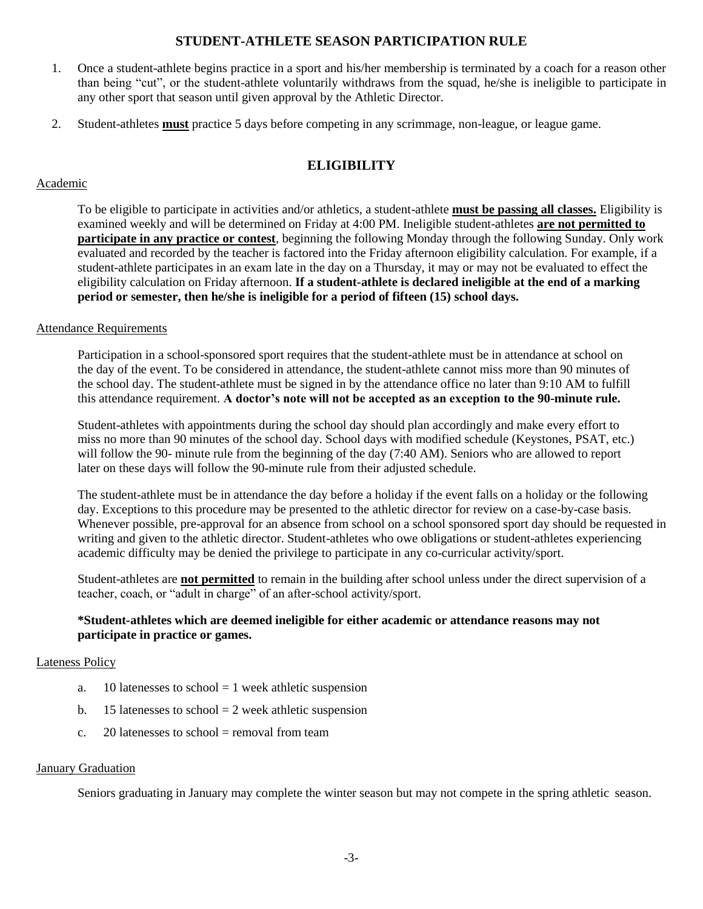## **STUDENT-ATHLETE SEASON PARTICIPATION RULE**

- 1. Once a student-athlete begins practice in a sport and his/her membership is terminated by a coach for a reason other than being "cut", or the student-athlete voluntarily withdraws from the squad, he/she is ineligible to participate in any other sport that season until given approval by the Athletic Director.
- 2. Student-athletes **must** practice 5 days before competing in any scrimmage, non-league, or league game.

# **ELIGIBILITY**

#### Academic

To be eligible to participate in activities and/or athletics, a student-athlete **must be passing all classes.** Eligibility is examined weekly and will be determined on Friday at 4:00 PM. Ineligible student-athletes **are not permitted to participate in any practice or contest**, beginning the following Monday through the following Sunday. Only work evaluated and recorded by the teacher is factored into the Friday afternoon eligibility calculation. For example, if a student-athlete participates in an exam late in the day on a Thursday, it may or may not be evaluated to effect the eligibility calculation on Friday afternoon. **If a student-athlete is declared ineligible at the end of a marking period or semester, then he/she is ineligible for a period of fifteen (15) school days.**

#### Attendance Requirements

Participation in a school-sponsored sport requires that the student-athlete must be in attendance at school on the day of the event. To be considered in attendance, the student-athlete cannot miss more than 90 minutes of the school day. The student-athlete must be signed in by the attendance office no later than 9:10 AM to fulfill this attendance requirement. **A doctor's note will not be accepted as an exception to the 90-minute rule.**

Student-athletes with appointments during the school day should plan accordingly and make every effort to miss no more than 90 minutes of the school day. School days with modified schedule (Keystones, PSAT, etc.) will follow the 90- minute rule from the beginning of the day (7:40 AM). Seniors who are allowed to report later on these days will follow the 90-minute rule from their adjusted schedule.

The student-athlete must be in attendance the day before a holiday if the event falls on a holiday or the following day. Exceptions to this procedure may be presented to the athletic director for review on a case-by-case basis. Whenever possible, pre-approval for an absence from school on a school sponsored sport day should be requested in writing and given to the athletic director. Student-athletes who owe obligations or student-athletes experiencing academic difficulty may be denied the privilege to participate in any co-curricular activity/sport.

Student-athletes are **not permitted** to remain in the building after school unless under the direct supervision of a teacher, coach, or "adult in charge" of an after-school activity/sport.

#### **\*Student-athletes which are deemed ineligible for either academic or attendance reasons may not participate in practice or games.**

#### Lateness Policy

- a. 10 latenesses to school  $= 1$  week athletic suspension
- b. 15 latenesses to school  $= 2$  week athletic suspension
- c.  $20$  latenesses to school = removal from team

#### January Graduation

Seniors graduating in January may complete the winter season but may not compete in the spring athletic season.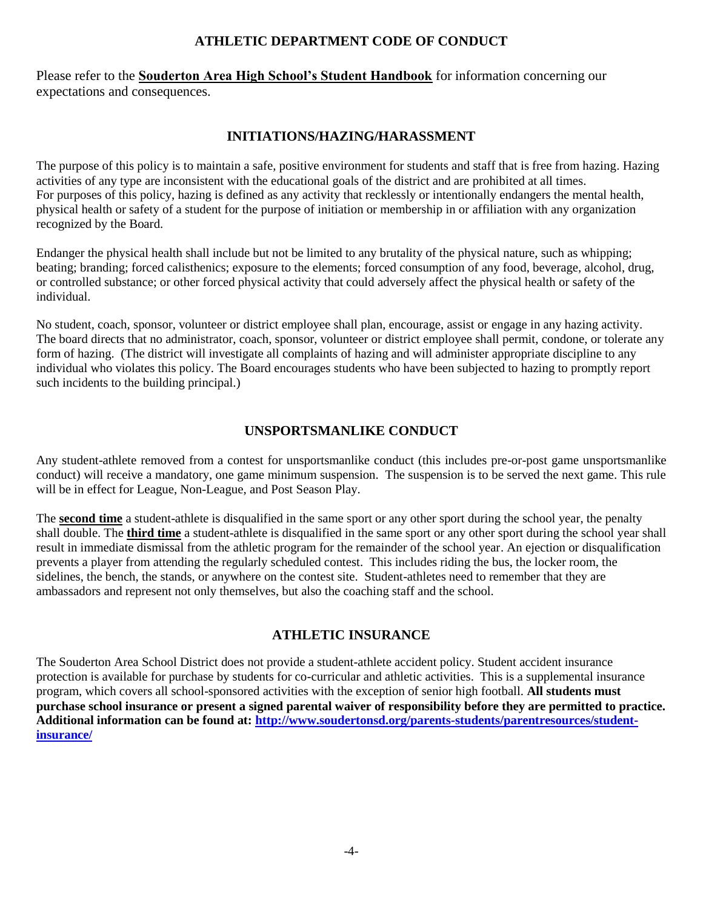## **ATHLETIC DEPARTMENT CODE OF CONDUCT**

Please refer to the **Souderton Area High School's Student Handbook** for information concerning our expectations and consequences.

### **INITIATIONS/HAZING/HARASSMENT**

The purpose of this policy is to maintain a safe, positive environment for students and staff that is free from hazing. Hazing activities of any type are inconsistent with the educational goals of the district and are prohibited at all times. For purposes of this policy, hazing is defined as any activity that recklessly or intentionally endangers the mental health, physical health or safety of a student for the purpose of initiation or membership in or affiliation with any organization recognized by the Board.

Endanger the physical health shall include but not be limited to any brutality of the physical nature, such as whipping; beating; branding; forced calisthenics; exposure to the elements; forced consumption of any food, beverage, alcohol, drug, or controlled substance; or other forced physical activity that could adversely affect the physical health or safety of the individual.

No student, coach, sponsor, volunteer or district employee shall plan, encourage, assist or engage in any hazing activity. The board directs that no administrator, coach, sponsor, volunteer or district employee shall permit, condone, or tolerate any form of hazing. (The district will investigate all complaints of hazing and will administer appropriate discipline to any individual who violates this policy. The Board encourages students who have been subjected to hazing to promptly report such incidents to the building principal.)

## **UNSPORTSMANLIKE CONDUCT**

Any student-athlete removed from a contest for unsportsmanlike conduct (this includes pre-or-post game unsportsmanlike conduct) will receive a mandatory, one game minimum suspension. The suspension is to be served the next game. This rule will be in effect for League, Non-League, and Post Season Play.

The **second time** a student-athlete is disqualified in the same sport or any other sport during the school year, the penalty shall double. The **third time** a student-athlete is disqualified in the same sport or any other sport during the school year shall result in immediate dismissal from the athletic program for the remainder of the school year. An ejection or disqualification prevents a player from attending the regularly scheduled contest. This includes riding the bus, the locker room, the sidelines, the bench, the stands, or anywhere on the contest site. Student-athletes need to remember that they are ambassadors and represent not only themselves, but also the coaching staff and the school.

## **ATHLETIC INSURANCE**

The Souderton Area School District does not provide a student-athlete accident policy. Student accident insurance protection is available for purchase by students for co-curricular and athletic activities. This is a supplemental insurance program, which covers all school-sponsored activities with the exception of senior high football. **All students must purchase school insurance or present a signed parental waiver of responsibility before they are permitted to practice. Additional information can be found at: [http://www.soudertonsd.org/parents-students/parentresources/student](http://www.soudertonsd.org/parents-students/parentresources/student-insurance/)[insurance/](http://www.soudertonsd.org/parents-students/parentresources/student-insurance/)**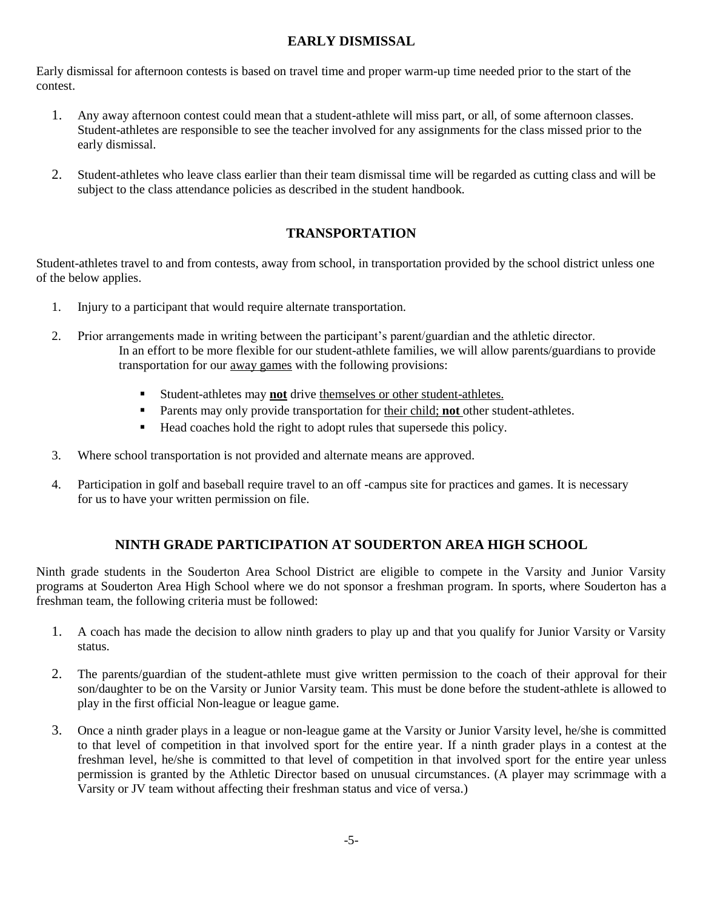# **EARLY DISMISSAL**

Early dismissal for afternoon contests is based on travel time and proper warm-up time needed prior to the start of the contest.

- 1. Any away afternoon contest could mean that a student-athlete will miss part, or all, of some afternoon classes. Student-athletes are responsible to see the teacher involved for any assignments for the class missed prior to the early dismissal.
- 2. Student-athletes who leave class earlier than their team dismissal time will be regarded as cutting class and will be subject to the class attendance policies as described in the student handbook.

# **TRANSPORTATION**

Student-athletes travel to and from contests, away from school, in transportation provided by the school district unless one of the below applies.

- 1. Injury to a participant that would require alternate transportation.
- 2. Prior arrangements made in writing between the participant's parent/guardian and the athletic director. In an effort to be more flexible for our student-athlete families, we will allow parents/guardians to provide transportation for our away games with the following provisions:
	- Student-athletes may **not** drive themselves or other student-athletes.
	- **•** Parents may only provide transportation for their child; **not** other student-athletes.
	- Head coaches hold the right to adopt rules that supersede this policy.
- 3. Where school transportation is not provided and alternate means are approved.
- 4. Participation in golf and baseball require travel to an off -campus site for practices and games. It is necessary for us to have your written permission on file.

## **NINTH GRADE PARTICIPATION AT SOUDERTON AREA HIGH SCHOOL**

Ninth grade students in the Souderton Area School District are eligible to compete in the Varsity and Junior Varsity programs at Souderton Area High School where we do not sponsor a freshman program. In sports, where Souderton has a freshman team, the following criteria must be followed:

- 1. A coach has made the decision to allow ninth graders to play up and that you qualify for Junior Varsity or Varsity status.
- 2. The parents/guardian of the student-athlete must give written permission to the coach of their approval for their son/daughter to be on the Varsity or Junior Varsity team. This must be done before the student-athlete is allowed to play in the first official Non-league or league game.
- 3. Once a ninth grader plays in a league or non-league game at the Varsity or Junior Varsity level, he/she is committed to that level of competition in that involved sport for the entire year. If a ninth grader plays in a contest at the freshman level, he/she is committed to that level of competition in that involved sport for the entire year unless permission is granted by the Athletic Director based on unusual circumstances. (A player may scrimmage with a Varsity or JV team without affecting their freshman status and vice of versa.)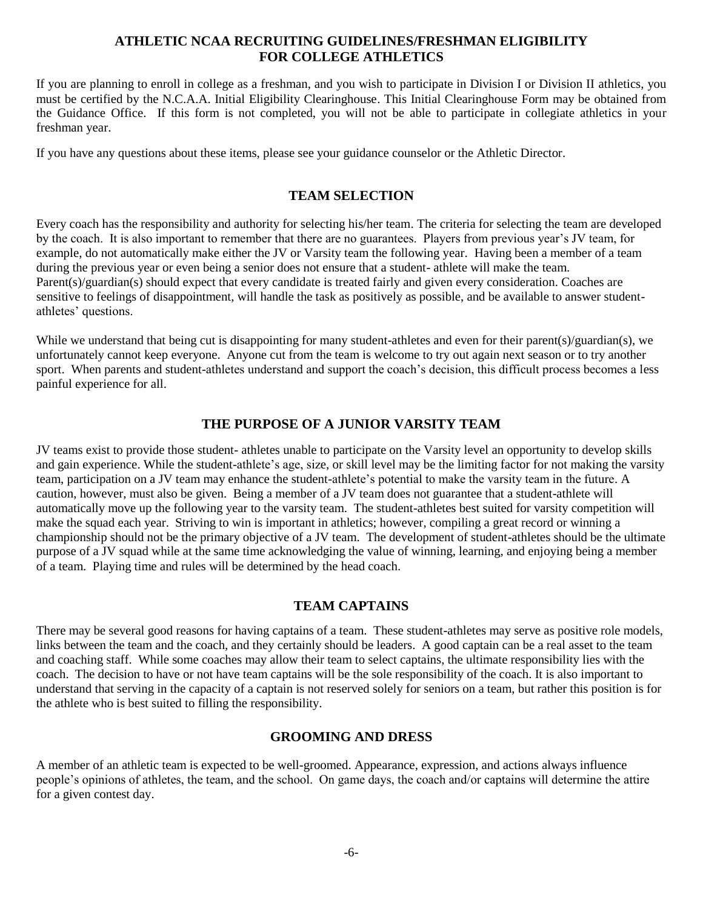### **ATHLETIC NCAA RECRUITING GUIDELINES/FRESHMAN ELIGIBILITY FOR COLLEGE ATHLETICS**

If you are planning to enroll in college as a freshman, and you wish to participate in Division I or Division II athletics, you must be certified by the N.C.A.A. Initial Eligibility Clearinghouse. This Initial Clearinghouse Form may be obtained from the Guidance Office. If this form is not completed, you will not be able to participate in collegiate athletics in your freshman year.

If you have any questions about these items, please see your guidance counselor or the Athletic Director.

### **TEAM SELECTION**

Every coach has the responsibility and authority for selecting his/her team. The criteria for selecting the team are developed by the coach. It is also important to remember that there are no guarantees. Players from previous year's JV team, for example, do not automatically make either the JV or Varsity team the following year. Having been a member of a team during the previous year or even being a senior does not ensure that a student- athlete will make the team. Parent(s)/guardian(s) should expect that every candidate is treated fairly and given every consideration. Coaches are sensitive to feelings of disappointment, will handle the task as positively as possible, and be available to answer studentathletes' questions.

While we understand that being cut is disappointing for many student-athletes and even for their parent(s)/guardian(s), we unfortunately cannot keep everyone. Anyone cut from the team is welcome to try out again next season or to try another sport. When parents and student-athletes understand and support the coach's decision, this difficult process becomes a less painful experience for all.

### **THE PURPOSE OF A JUNIOR VARSITY TEAM**

JV teams exist to provide those student- athletes unable to participate on the Varsity level an opportunity to develop skills and gain experience. While the student-athlete's age, size, or skill level may be the limiting factor for not making the varsity team, participation on a JV team may enhance the student-athlete's potential to make the varsity team in the future. A caution, however, must also be given. Being a member of a JV team does not guarantee that a student-athlete will automatically move up the following year to the varsity team. The student-athletes best suited for varsity competition will make the squad each year. Striving to win is important in athletics; however, compiling a great record or winning a championship should not be the primary objective of a JV team. The development of student-athletes should be the ultimate purpose of a JV squad while at the same time acknowledging the value of winning, learning, and enjoying being a member of a team. Playing time and rules will be determined by the head coach.

### **TEAM CAPTAINS**

There may be several good reasons for having captains of a team. These student-athletes may serve as positive role models, links between the team and the coach, and they certainly should be leaders. A good captain can be a real asset to the team and coaching staff. While some coaches may allow their team to select captains, the ultimate responsibility lies with the coach. The decision to have or not have team captains will be the sole responsibility of the coach. It is also important to understand that serving in the capacity of a captain is not reserved solely for seniors on a team, but rather this position is for the athlete who is best suited to filling the responsibility.

### **GROOMING AND DRESS**

A member of an athletic team is expected to be well-groomed. Appearance, expression, and actions always influence people's opinions of athletes, the team, and the school. On game days, the coach and/or captains will determine the attire for a given contest day.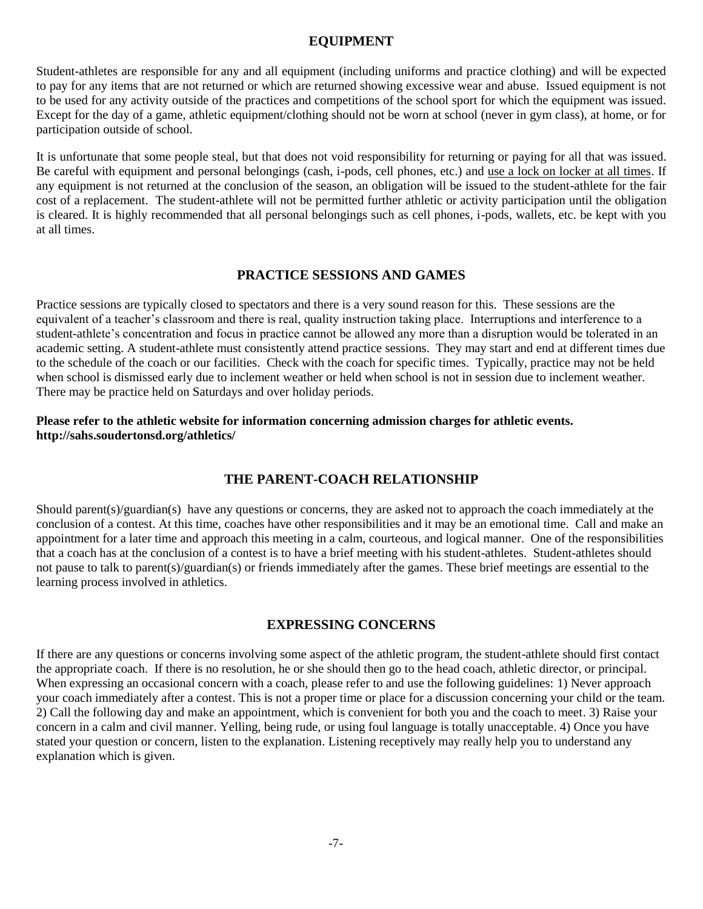### **EQUIPMENT**

Student-athletes are responsible for any and all equipment (including uniforms and practice clothing) and will be expected to pay for any items that are not returned or which are returned showing excessive wear and abuse. Issued equipment is not to be used for any activity outside of the practices and competitions of the school sport for which the equipment was issued. Except for the day of a game, athletic equipment/clothing should not be worn at school (never in gym class), at home, or for participation outside of school.

It is unfortunate that some people steal, but that does not void responsibility for returning or paying for all that was issued. Be careful with equipment and personal belongings (cash, i-pods, cell phones, etc.) and use a lock on locker at all times. If any equipment is not returned at the conclusion of the season, an obligation will be issued to the student-athlete for the fair cost of a replacement. The student-athlete will not be permitted further athletic or activity participation until the obligation is cleared. It is highly recommended that all personal belongings such as cell phones, i-pods, wallets, etc. be kept with you at all times.

### **PRACTICE SESSIONS AND GAMES**

Practice sessions are typically closed to spectators and there is a very sound reason for this. These sessions are the equivalent of a teacher's classroom and there is real, quality instruction taking place. Interruptions and interference to a student-athlete's concentration and focus in practice cannot be allowed any more than a disruption would be tolerated in an academic setting. A student-athlete must consistently attend practice sessions. They may start and end at different times due to the schedule of the coach or our facilities. Check with the coach for specific times. Typically, practice may not be held when school is dismissed early due to inclement weather or held when school is not in session due to inclement weather. There may be practice held on Saturdays and over holiday periods.

#### **Please refer to the athletic website for information concerning admission charges for athletic events. http://sahs.soudertonsd.org/athletics/**

### **THE PARENT-COACH RELATIONSHIP**

Should parent(s)/guardian(s) have any questions or concerns, they are asked not to approach the coach immediately at the conclusion of a contest. At this time, coaches have other responsibilities and it may be an emotional time. Call and make an appointment for a later time and approach this meeting in a calm, courteous, and logical manner. One of the responsibilities that a coach has at the conclusion of a contest is to have a brief meeting with his student-athletes. Student-athletes should not pause to talk to parent(s)/guardian(s) or friends immediately after the games. These brief meetings are essential to the learning process involved in athletics.

### **EXPRESSING CONCERNS**

If there are any questions or concerns involving some aspect of the athletic program, the student-athlete should first contact the appropriate coach. If there is no resolution, he or she should then go to the head coach, athletic director, or principal. When expressing an occasional concern with a coach, please refer to and use the following guidelines: 1) Never approach your coach immediately after a contest. This is not a proper time or place for a discussion concerning your child or the team. 2) Call the following day and make an appointment, which is convenient for both you and the coach to meet. 3) Raise your concern in a calm and civil manner. Yelling, being rude, or using foul language is totally unacceptable. 4) Once you have stated your question or concern, listen to the explanation. Listening receptively may really help you to understand any explanation which is given.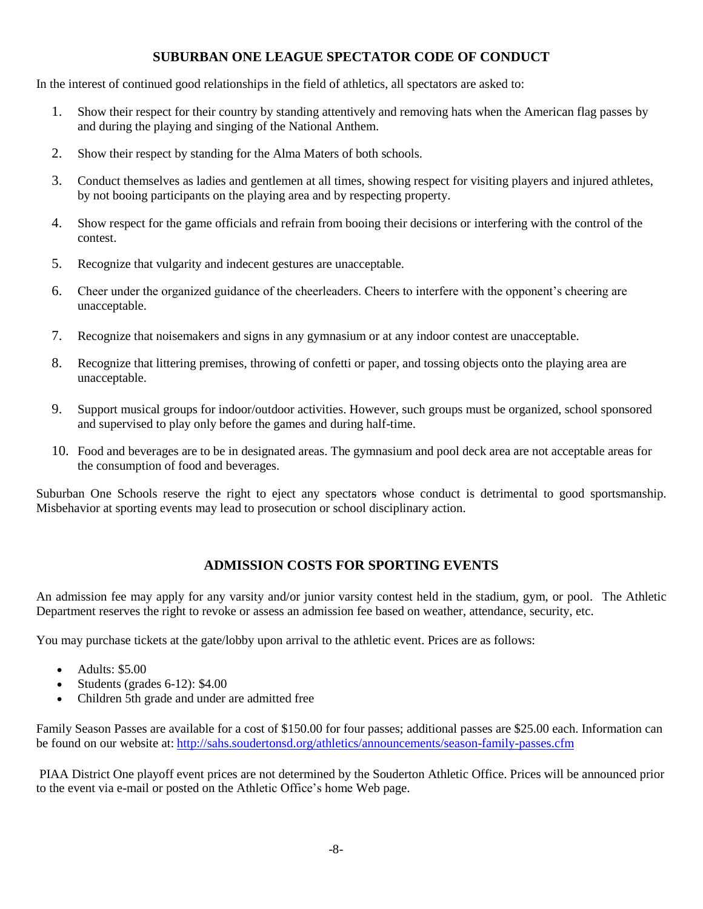## **SUBURBAN ONE LEAGUE SPECTATOR CODE OF CONDUCT**

In the interest of continued good relationships in the field of athletics, all spectators are asked to:

- 1. Show their respect for their country by standing attentively and removing hats when the American flag passes by and during the playing and singing of the National Anthem.
- 2. Show their respect by standing for the Alma Maters of both schools.
- 3. Conduct themselves as ladies and gentlemen at all times, showing respect for visiting players and injured athletes, by not booing participants on the playing area and by respecting property.
- 4. Show respect for the game officials and refrain from booing their decisions or interfering with the control of the contest.
- 5. Recognize that vulgarity and indecent gestures are unacceptable.
- 6. Cheer under the organized guidance of the cheerleaders. Cheers to interfere with the opponent's cheering are unacceptable.
- 7. Recognize that noisemakers and signs in any gymnasium or at any indoor contest are unacceptable.
- 8. Recognize that littering premises, throwing of confetti or paper, and tossing objects onto the playing area are unacceptable.
- 9. Support musical groups for indoor/outdoor activities. However, such groups must be organized, school sponsored and supervised to play only before the games and during half-time.
- 10. Food and beverages are to be in designated areas. The gymnasium and pool deck area are not acceptable areas for the consumption of food and beverages.

Suburban One Schools reserve the right to eject any spectators whose conduct is detrimental to good sportsmanship. Misbehavior at sporting events may lead to prosecution or school disciplinary action.

## **ADMISSION COSTS FOR SPORTING EVENTS**

An admission fee may apply for any varsity and/or junior varsity contest held in the stadium, gym, or pool. The Athletic Department reserves the right to revoke or assess an admission fee based on weather, attendance, security, etc.

You may purchase tickets at the gate/lobby upon arrival to the athletic event. Prices are as follows:

- Adults: \$5.00
- Students (grades  $6-12$ ): \$4.00
- Children 5th grade and under are admitted free

Family Season Passes are available for a cost of \$150.00 for four passes; additional passes are \$25.00 each. Information can be found on our website at: <http://sahs.soudertonsd.org/athletics/announcements/season-family-passes.cfm>

PIAA District One playoff event prices are not determined by the Souderton Athletic Office. Prices will be announced prior to the event via e-mail or posted on the Athletic Office's home Web page.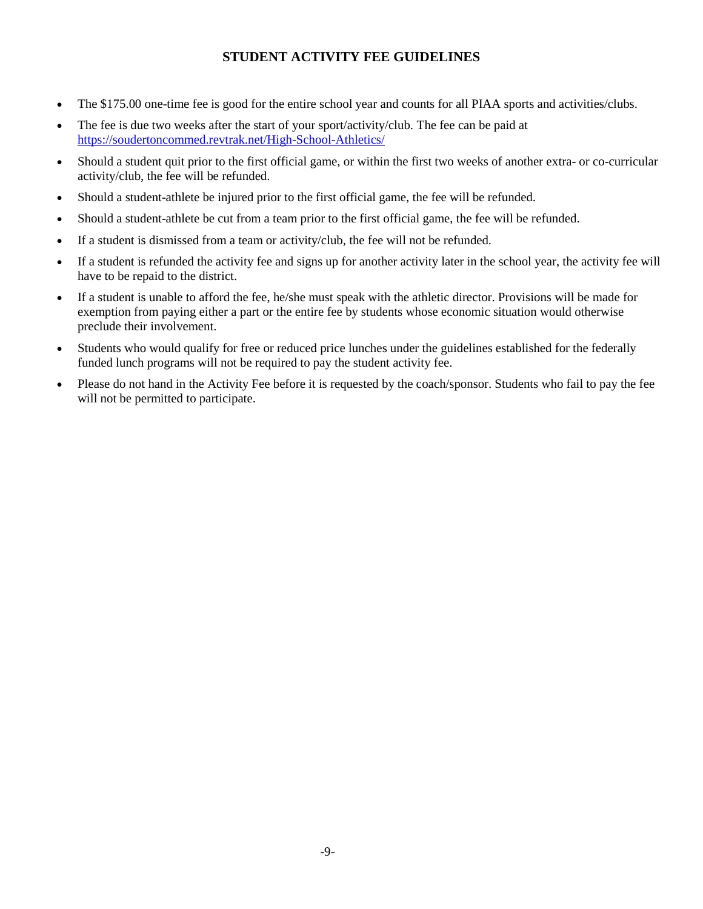# **STUDENT ACTIVITY FEE GUIDELINES**

- The \$175.00 one-time fee is good for the entire school year and counts for all PIAA sports and activities/clubs.
- The fee is due two weeks after the start of your sport/activity/club. The fee can be paid at <https://soudertoncommed.revtrak.net/High-School-Athletics/>
- Should a student quit prior to the first official game, or within the first two weeks of another extra- or co-curricular activity/club, the fee will be refunded.
- Should a student-athlete be injured prior to the first official game, the fee will be refunded.
- Should a student-athlete be cut from a team prior to the first official game, the fee will be refunded.
- If a student is dismissed from a team or activity/club, the fee will not be refunded.
- If a student is refunded the activity fee and signs up for another activity later in the school year, the activity fee will have to be repaid to the district.
- If a student is unable to afford the fee, he/she must speak with the athletic director. Provisions will be made for exemption from paying either a part or the entire fee by students whose economic situation would otherwise preclude their involvement.
- Students who would qualify for free or reduced price lunches under the guidelines established for the federally funded lunch programs will not be required to pay the student activity fee.
- Please do not hand in the Activity Fee before it is requested by the coach/sponsor. Students who fail to pay the fee will not be permitted to participate.